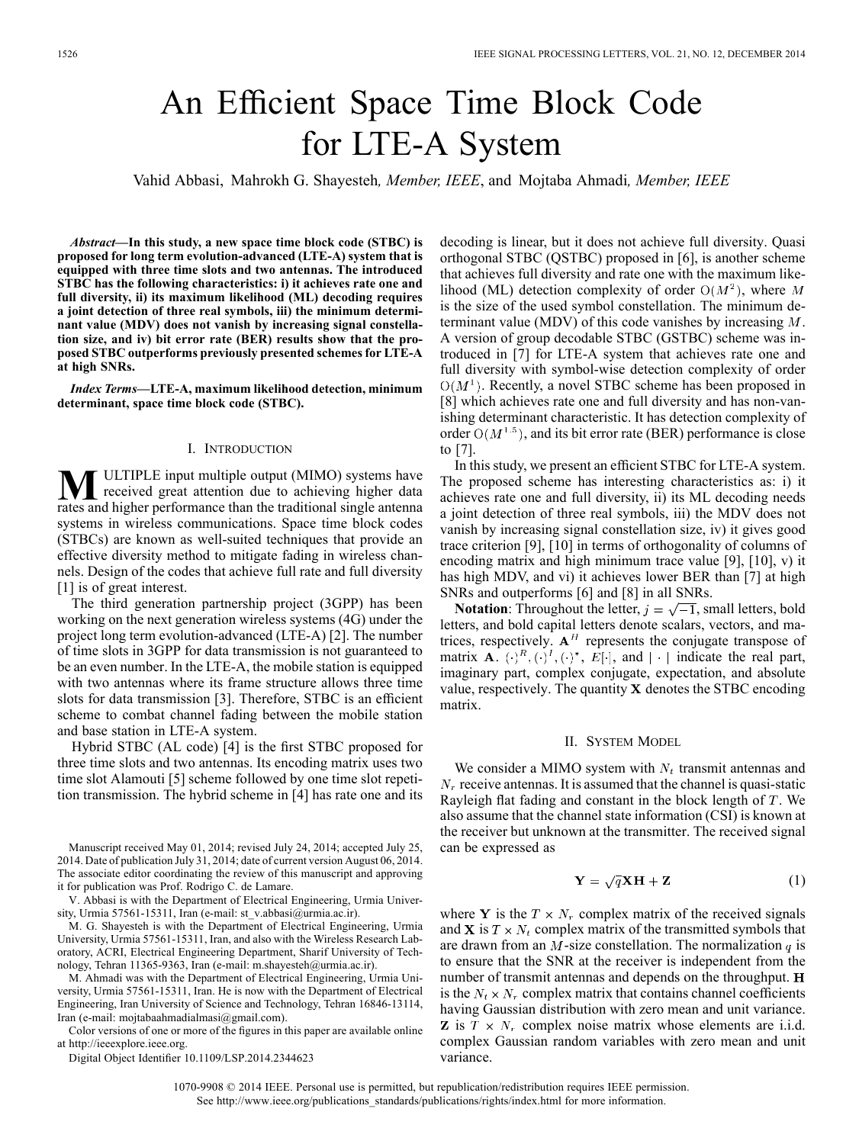# An Efficient Space Time Block Code for LTE-A System

Vahid Abbasi, Mahrokh G. Shayesteh*, Member, IEEE*, and Mojtaba Ahmadi*, Member, IEEE*

*Abstract—***In this study, a new space time block code (STBC) is proposed for long term evolution-advanced (LTE-A) system that is equipped with three time slots and two antennas. The introduced STBC has the following characteristics: i) it achieves rate one and full diversity, ii) its maximum likelihood (ML) decoding requires a joint detection of three real symbols, iii) the minimum determinant value (MDV) does not vanish by increasing signal constellation size, and iv) bit error rate (BER) results show that the proposed STBC outperforms previously presented schemes for LTE-A at high SNRs.**

*Index Terms—***LTE-A, maximum likelihood detection, minimum determinant, space time block code (STBC).**

#### I. INTRODUCTION

**M**ULTIPLE input multiple output (MIMO) systems have<br>received great attention due to achieving higher data<br>retes and bigher performance than the traditional single antenna rates and higher performance than the traditional single antenna systems in wireless communications. Space time block codes (STBCs) are known as well-suited techniques that provide an effective diversity method to mitigate fading in wireless channels. Design of the codes that achieve full rate and full diversity [1] is of great interest.

The third generation partnership project (3GPP) has been working on the next generation wireless systems (4G) under the project long term evolution-advanced (LTE-A) [2]. The number of time slots in 3GPP for data transmission is not guaranteed to be an even number. In the LTE-A, the mobile station is equipped with two antennas where its frame structure allows three time slots for data transmission [3]. Therefore, STBC is an efficient scheme to combat channel fading between the mobile station and base station in LTE-A system.

Hybrid STBC (AL code) [4] is the first STBC proposed for three time slots and two antennas. Its encoding matrix uses two time slot Alamouti [5] scheme followed by one time slot repetition transmission. The hybrid scheme in [4] has rate one and its

Manuscript received May 01, 2014; revised July 24, 2014; accepted July 25, 2014. Date of publication July 31, 2014; date of current version August 06, 2014. The associate editor coordinating the review of this manuscript and approving it for publication was Prof. Rodrigo C. de Lamare.

V. Abbasi is with the Department of Electrical Engineering, Urmia University, Urmia 57561-15311, Iran (e-mail: st\_v.abbasi@urmia.ac.ir).

M. G. Shayesteh is with the Department of Electrical Engineering, Urmia University, Urmia 57561-15311, Iran, and also with the Wireless Research Laboratory, ACRI, Electrical Engineering Department, Sharif University of Technology, Tehran 11365-9363, Iran (e-mail: m.shayesteh@urmia.ac.ir).

M. Ahmadi was with the Department of Electrical Engineering, Urmia University, Urmia 57561-15311, Iran. He is now with the Department of Electrical Engineering, Iran University of Science and Technology, Tehran 16846-13114, Iran (e-mail: mojtabaahmadialmasi@gmail.com).

Color versions of one or more of the figures in this paper are available online at http://ieeexplore.ieee.org.

Digital Object Identifier 10.1109/LSP.2014.2344623

decoding is linear, but it does not achieve full diversity. Quasi orthogonal STBC (QSTBC) proposed in [6], is another scheme that achieves full diversity and rate one with the maximum likelihood (ML) detection complexity of order  $O(M^2)$ , where M is the size of the used symbol constellation. The minimum determinant value (MDV) of this code vanishes by increasing  $M$ . A version of group decodable STBC (GSTBC) scheme was introduced in [7] for LTE-A system that achieves rate one and full diversity with symbol-wise detection complexity of order  $O(M<sup>1</sup>)$ . Recently, a novel STBC scheme has been proposed in [8] which achieves rate one and full diversity and has non-vanishing determinant characteristic. It has detection complexity of order  $O(M^{1.5})$ , and its bit error rate (BER) performance is close to [7].

In this study, we present an efficient STBC for LTE-A system. The proposed scheme has interesting characteristics as: i) it achieves rate one and full diversity, ii) its ML decoding needs a joint detection of three real symbols, iii) the MDV does not vanish by increasing signal constellation size, iv) it gives good trace criterion [9], [10] in terms of orthogonality of columns of encoding matrix and high minimum trace value [9], [10], v) it has high MDV, and vi) it achieves lower BER than [7] at high SNRs and outperforms [6] and [8] in all SNRs.

**Notation**: Throughout the letter,  $j = \sqrt{-1}$ , small letters, bold letters, and bold capital letters denote scalars, vectors, and matrices, respectively.  $A<sup>H</sup>$  represents the conjugate transpose of matrix **A**.  $(\cdot)^R$ ,  $(\cdot)^I$ ,  $(\cdot)^*$ ,  $E[\cdot]$ , and  $|\cdot|$  indicate the real part, imaginary part, complex conjugate, expectation, and absolute value, respectively. The quantity  $X$  denotes the STBC encoding matrix.

# II. SYSTEM MODEL

We consider a MIMO system with  $N_t$  transmit antennas and  $N_r$  receive antennas. It is assumed that the channel is quasi-static Rayleigh flat fading and constant in the block length of  $T$ . We also assume that the channel state information (CSI) is known at the receiver but unknown at the transmitter. The received signal can be expressed as

$$
\mathbf{Y} = \sqrt{q}\mathbf{X}\mathbf{H} + \mathbf{Z} \tag{1}
$$

where Y is the  $T \times N_r$  complex matrix of the received signals and **X** is  $T \times N_t$  complex matrix of the transmitted symbols that are drawn from an  $M$ -size constellation. The normalization  $q$  is to ensure that the SNR at the receiver is independent from the number of transmit antennas and depends on the throughput. H is the  $N_t \times N_r$  complex matrix that contains channel coefficients having Gaussian distribution with zero mean and unit variance. **Z** is  $T \times N_r$  complex noise matrix whose elements are i.i.d. complex Gaussian random variables with zero mean and unit variance.

1070-9908 © 2014 IEEE. Personal use is permitted, but republication/redistribution requires IEEE permission. See http://www.ieee.org/publications\_standards/publications/rights/index.html for more information.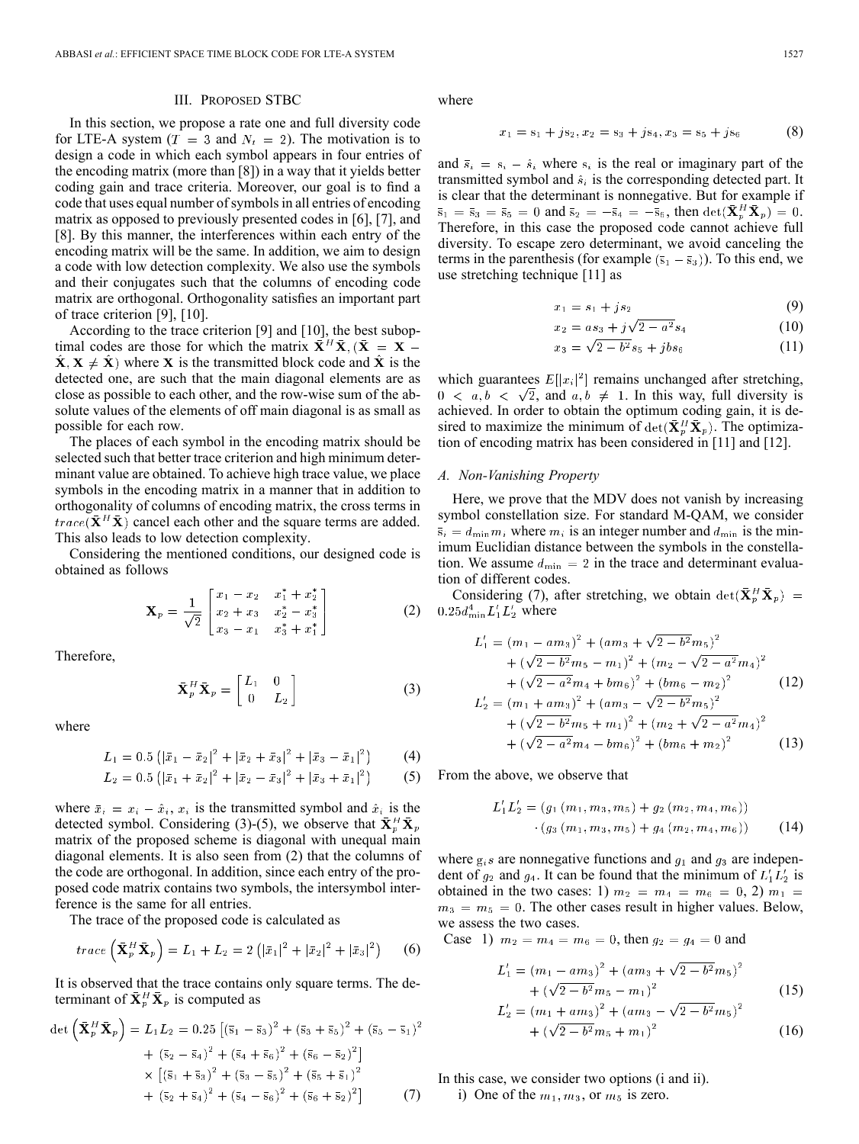## III. PROPOSED STBC

In this section, we propose a rate one and full diversity code for LTE-A system ( $T = 3$  and  $N_t = 2$ ). The motivation is to design a code in which each symbol appears in four entries of the encoding matrix (more than [8]) in a way that it yields better coding gain and trace criteria. Moreover, our goal is to find a code that uses equal number of symbols in all entries of encoding matrix as opposed to previously presented codes in [6], [7], and [8]. By this manner, the interferences within each entry of the encoding matrix will be the same. In addition, we aim to design a code with low detection complexity. We also use the symbols and their conjugates such that the columns of encoding code matrix are orthogonal. Orthogonality satisfies an important part of trace criterion [9], [10].

According to the trace criterion [9] and [10], the best suboptimal codes are those for which the matrix  $\bar{\mathbf{X}}^H \bar{\mathbf{X}}$ ,  $(\bar{\mathbf{X}} = \mathbf{X} \hat{\mathbf{X}}, \mathbf{X} \neq \hat{\mathbf{X}}$  where **X** is the transmitted block code and  $\hat{\mathbf{X}}$  is the detected one, are such that the main diagonal elements are as close as possible to each other, and the row-wise sum of the absolute values of the elements of off main diagonal is as small as possible for each row.

The places of each symbol in the encoding matrix should be selected such that better trace criterion and high minimum determinant value are obtained. To achieve high trace value, we place symbols in the encoding matrix in a manner that in addition to orthogonality of columns of encoding matrix, the cross terms in  $trace(\bar{\mathbf{X}}^H\bar{\mathbf{X}})$  cancel each other and the square terms are added. This also leads to low detection complexity.

Considering the mentioned conditions, our designed code is obtained as follows

$$
\mathbf{X}_p = \frac{1}{\sqrt{2}} \begin{bmatrix} x_1 - x_2 & x_1^* + x_2^* \\ x_2 + x_3 & x_2^* - x_3^* \\ x_3 - x_1 & x_3^* + x_1^* \end{bmatrix}
$$
 (2)

Therefore,

$$
\bar{\mathbf{X}}_p^H \bar{\mathbf{X}}_p = \begin{bmatrix} L_1 & 0 \\ 0 & L_2 \end{bmatrix}
$$
 (3)

where

$$
L_1 = 0.5 \left( |\bar{x}_1 - \bar{x}_2|^2 + |\bar{x}_2 + \bar{x}_3|^2 + |\bar{x}_3 - \bar{x}_1|^2 \right) \tag{4}
$$

$$
L_2 = 0.5 \left( \left| \bar{x}_1 + \bar{x}_2 \right|^2 + \left| \bar{x}_2 - \bar{x}_3 \right|^2 + \left| \bar{x}_3 + \bar{x}_1 \right|^2 \right) \tag{5}
$$

where  $\bar{x}_i = x_i - \hat{x}_i$ ,  $x_i$  is the transmitted symbol and  $\hat{x}_i$  is the detected symbol. Considering (3)-(5), we observe that  $\overline{\mathbf{X}}_p^H \overline{\mathbf{X}}_p$ matrix of the proposed scheme is diagonal with unequal main diagonal elements. It is also seen from (2) that the columns of the code are orthogonal. In addition, since each entry of the proposed code matrix contains two symbols, the intersymbol interference is the same for all entries.

The trace of the proposed code is calculated as

$$
trace\left(\bar{\mathbf{X}}_p^H\bar{\mathbf{X}}_p\right) = L_1 + L_2 = 2\left(|\bar{x}_1|^2 + |\bar{x}_2|^2 + |\bar{x}_3|^2\right) \tag{6}
$$

It is observed that the trace contains only square terms. The determinant of  $\bar{\mathbf{X}}_p^H \bar{\mathbf{X}}_p$  is computed as

$$
\det\left(\bar{\mathbf{X}}_p^H \bar{\mathbf{X}}_p\right) = L_1 L_2 = 0.25 \left[ (\bar{s}_1 - \bar{s}_3)^2 + (\bar{s}_3 + \bar{s}_5)^2 + (\bar{s}_5 - \bar{s}_1)^2 + (\bar{s}_2 - \bar{s}_4)^2 + (\bar{s}_4 + \bar{s}_6)^2 + (\bar{s}_6 - \bar{s}_2)^2 \right] \times \left[ (\bar{s}_1 + \bar{s}_3)^2 + (\bar{s}_3 - \bar{s}_5)^2 + (\bar{s}_5 + \bar{s}_1)^2 + (\bar{s}_2 + \bar{s}_4)^2 + (\bar{s}_4 - \bar{s}_6)^2 + (\bar{s}_6 + \bar{s}_2)^2 \right]
$$
(7)

where

 $\overline{x}$ 

$$
x_1 = s_1 + j s_2, x_2 = s_3 + j s_4, x_3 = s_5 + j s_6 \tag{8}
$$

and  $\bar{s}_i = s_i - \hat{s}_i$  where  $s_i$  is the real or imaginary part of the transmitted symbol and  $\hat{s}_i$  is the corresponding detected part. It is clear that the determinant is nonnegative. But for example if and  $\bar{s}_2 = -\bar{s}_4 = -\bar{s}_6$ , then  $\det(\bar{\mathbf{X}}_p^H \bar{\mathbf{X}}_p) = 0$ . Therefore, in this case the proposed code cannot achieve full diversity. To escape zero determinant, we avoid canceling the terms in the parenthesis (for example  $(\bar{s}_1 - \bar{s}_3)$ ). To this end, we use stretching technique [11] as

$$
x_1 = s_1 + j s_2 \tag{9}
$$

$$
x_2 = as_3 + j\sqrt{2 - a^2} s_4 \tag{10}
$$

$$
x_3 = \sqrt{2 - b^2} s_5 + j b s_6 \tag{11}
$$

which guarantees  $E[|x_i|^2]$  remains unchanged after stretching,  $0 \lt a, b \lt \sqrt{2}$ , and  $a, b \neq 1$ . In this way, full diversity is achieved. In order to obtain the optimum coding gain, it is desired to maximize the minimum of  $\det(\bar{\mathbf{X}}_p^H \bar{\mathbf{X}}_p)$ . The optimization of encoding matrix has been considered in [11] and [12].

#### *A. Non-Vanishing Property*

Here, we prove that the MDV does not vanish by increasing symbol constellation size. For standard M-QAM, we consider  $\overline{s}_i = d_{\min} m_i$  where  $m_i$  is an integer number and  $d_{\min}$  is the minimum Euclidian distance between the symbols in the constellation. We assume  $d_{\min} = 2$  in the trace and determinant evaluation of different codes.

Considering (7), after stretching, we obtain  $det(\bar{\mathbf{X}}_p^H \bar{\mathbf{X}}_p)$  =  $0.25d_{\min}^4L_1'L_2'$  where

$$
L'_{1} = (m_{1} - am_{3})^{2} + (am_{3} + \sqrt{2 - b^{2}}m_{5})^{2}
$$
  
+  $(\sqrt{2 - b^{2}}m_{5} - m_{1})^{2} + (m_{2} - \sqrt{2 - a^{2}}m_{4})^{2}$   
+  $(\sqrt{2 - a^{2}}m_{4} + bm_{6})^{2} + (bm_{6} - m_{2})^{2}$  (12)  

$$
L'_{2} = (m_{1} + am_{3})^{2} + (am_{3} - \sqrt{2 - b^{2}}m_{5})^{2}
$$
  
+  $(\sqrt{2 - b^{2}}m_{5} + m_{1})^{2} + (m_{2} + \sqrt{2 - a^{2}}m_{4})^{2}$   
+  $(\sqrt{2 - a^{2}}m_{4} - bm_{6})^{2} + (bm_{6} + m_{2})^{2}$  (13)

From the above, we observe that

$$
L'_1 L'_2 = (g_1(m_1, m_3, m_5) + g_2(m_2, m_4, m_6))
$$
  
·(g\_3(m\_1, m\_3, m\_5) + g\_4(m\_2, m\_4, m\_6)) (14)

where  $g_i s$  are nonnegative functions and  $g_1$  and  $g_3$  are independent of  $g_2$  and  $g_4$ . It can be found that the minimum of  $L_1 L_2$  is obtained in the two cases: 1)  $m_2 = m_4 = m_6 = 0, 2$   $m_1 =$  $m_3 = m_5 = 0$ . The other cases result in higher values. Below, we assess the two cases.

Case 1)  $m_2 = m_4 = m_6 = 0$ , then  $g_2 = g_4 = 0$  and

$$
L'_{1} = (m_{1} - am_{3})^{2} + (am_{3} + \sqrt{2 - b^{2}}m_{5})^{2}
$$
  
+  $(\sqrt{2 - b^{2}}m_{5} - m_{1})^{2}$  (15)

$$
L'_{2} = (m_{1} + am_{3})^{2} + (am_{3} - \sqrt{2 - b^{2}}m_{5})^{2}
$$

$$
+ (\sqrt{2 - b^{2}}m_{5} + m_{1})^{2}
$$
(16)

In this case, we consider two options (i and ii).

i) One of the  $m_1, m_3$ , or  $m_5$  is zero.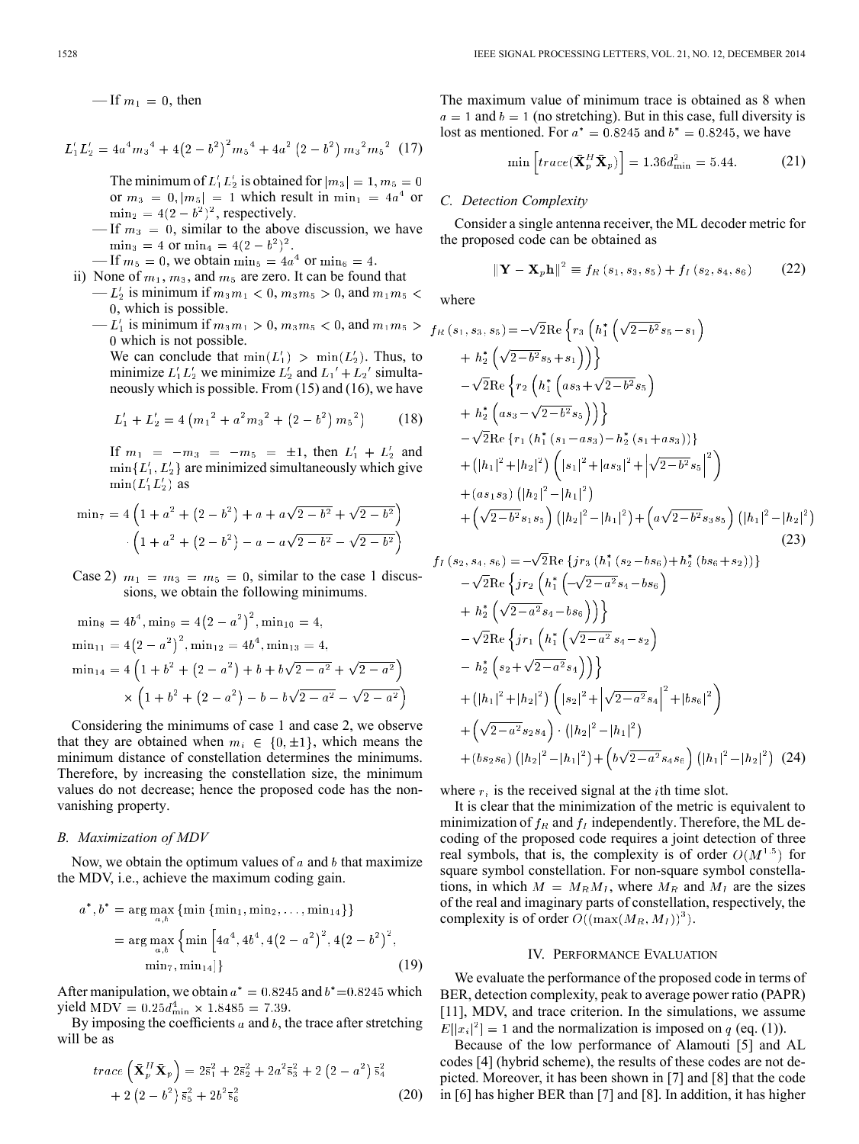— If  $m_1 = 0$ , then

$$
L'_1 L'_2 = 4a^4 m_3^4 + 4(2 - b^2)^2 m_5^4 + 4a^2 (2 - b^2) m_3^2 m_5^2
$$
 (17)

The minimum of  $L_1' L_2'$  is obtained for  $|m_3| = 1, m_5 = 0$ or  $m_3 = 0$ ,  $|m_5| = 1$  which result in  $\min_1 = 4a^4$  or  $\min_2 = 4(2 - b^2)^2$ , respectively.

- $\text{I}$ f  $m_3 = 0$ , similar to the above discussion, we have  $\min_3 = 4$  or  $\min_4 = 4(2-b^2)^2$ .
- If  $m_5 = 0$ , we obtain  $\min_5 = 4a^4$  or  $\min_6 = 4$ .
- ii) None of  $m_1, m_3$ , and  $m_5$  are zero. It can be found that  $-L'_2$  is minimum if  $m_3m_1 < 0$ ,  $m_3m_5 > 0$ , and  $m_1m_5 <$ , which is possible.
	- $L'_1$  is minimum if  $m_3 m_1 > 0$ ,  $m_3 m_5 < 0$ , and  $m_1 m_5 >$ which is not possible.

We can conclude that  $\min(L'_1) > \min(L'_2)$ . Thus, to minimize  $L_1' L_2'$  we minimize  $L_2'$  and  $L_1' + L_2'$  simultaneously which is possible. From (15) and (16), we have

$$
L'_1 + L'_2 = 4\left(m_1{}^2 + a^2m_3{}^2 + \left(2 - b^2\right)m_5{}^2\right) \tag{18}
$$

If  $m_1 = -m_3 = -m_5 = \pm 1$ , then  $L'_1 + L'_2$  and  $\min\{L_1', L_2'\}$  are minimized simultaneously which give  $\min(L_1'L_2')$  as

$$
\min_7 = 4\left(1 + a^2 + (2 - b^2) + a + a\sqrt{2 - b^2} + \sqrt{2 - b^2}\right)
$$

$$
\cdot \left(1 + a^2 + (2 - b^2) - a - a\sqrt{2 - b^2} - \sqrt{2 - b^2}\right)
$$

Case 2)  $m_1 = m_3 = m_5 = 0$ , similar to the case 1 discussions, we obtain the following minimums.

$$
\begin{aligned}\n\min_8 &= 4b^4, \min_9 = 4(2 - a^2)^2, \min_{10} = 4, \\
\min_{11} &= 4(2 - a^2)^2, \min_{12} = 4b^4, \min_{13} = 4, \\
\min_{14} &= 4\left(1 + b^2 + (2 - a^2) + b + b\sqrt{2 - a^2} + \sqrt{2 - a^2}\right) \\
&\times \left(1 + b^2 + (2 - a^2) - b - b\sqrt{2 - a^2} - \sqrt{2 - a^2}\right)\n\end{aligned}
$$

Considering the minimums of case 1 and case 2, we observe that they are obtained when  $m_i \in \{0, \pm 1\}$ , which means the minimum distance of constellation determines the minimums. Therefore, by increasing the constellation size, the minimum values do not decrease; hence the proposed code has the nonvanishing property.

## *B. Maximization of MDV*

Now, we obtain the optimum values of a and b that maximize the MDV, i.e., achieve the maximum coding gain.

$$
a^*, b^* = \arg\max_{a,b} \{\min\{\min_1, \min_2, \dots, \min_{14}\}\}
$$
  
= arg max<sub>a,b</sub> {min [4a<sup>4</sup>, 4b<sup>4</sup>, 4(2 - a<sup>2</sup>)<sup>2</sup>, 4(2 - b<sup>2</sup>)<sup>2</sup>,  
min<sub>7</sub>, min<sub>14</sub>]} (19)

After manipulation, we obtain  $a^* = 0.8245$  and  $b^* = 0.8245$  which yield MDV =  $0.25d_{\text{min}}^4 \times 1.8485 = 7.39$ .

By imposing the coefficients  $a$  and  $b$ , the trace after stretching will be as

$$
trace\left(\bar{\mathbf{X}}_p^H \bar{\mathbf{X}}_p\right) = 2\bar{s}_1^2 + 2\bar{s}_2^2 + 2a^2 \bar{s}_3^2 + 2\left(2 - a^2\right) \bar{s}_4^2 + 2\left(2 - b^2\right) \bar{s}_5^2 + 2b^2 \bar{s}_6^2
$$
\n(20)

The maximum value of minimum trace is obtained as 8 when  $a = 1$  and  $b = 1$  (no stretching). But in this case, full diversity is lost as mentioned. For  $a^* = 0.8245$  and  $b^* = 0.8245$ , we have

$$
\min\left[trace(\bar{\mathbf{X}}_p^H\bar{\mathbf{X}}_p)\right] = 1.36d_{\min}^2 = 5.44. \tag{21}
$$

# *C. Detection Complexity*

Consider a single antenna receiver, the ML decoder metric for the proposed code can be obtained as

$$
\|\mathbf{Y} - \mathbf{X}_p \mathbf{h}\|^2 \equiv f_R(s_1, s_3, s_5) + f_I(s_2, s_4, s_6)
$$
 (22)

where

$$
f_R(s_1, s_3, s_5) = -\sqrt{2} \text{Re} \left\{ r_3 \left( h_1^* \left( \sqrt{2 - b^2} s_5 - s_1 \right) \right) \right\}
$$
  
+  $h_2^* \left( \sqrt{2 - b^2} s_5 + s_1 \right) \right\}$   
-  $\sqrt{2} \text{Re} \left\{ r_2 \left( h_1^* \left( a s_3 + \sqrt{2 - b^2} s_5 \right) \right) \right\}$   
+  $h_2^* \left( a s_3 - \sqrt{2 - b^2} s_5 \right) \right\}$   
-  $\sqrt{2} \text{Re} \left\{ r_1 \left( h_1^* (s_1 - a s_3) - h_2^* (s_1 + a s_3) \right) \right\}$   
+  $(|h_1|^2 + |h_2|^2) \left( |s_1|^2 + |a s_3|^2 + |\sqrt{2 - b^2} s_5|^2 \right)$   
+  $(a s_1 s_3) \left( |h_2|^2 - |h_1|^2 \right)$   
+  $\left( \sqrt{2 - b^2} s_1 s_5 \right) \left( |h_2|^2 - |h_1|^2 \right) + \left( a \sqrt{2 - b^2} s_3 s_5 \right) \left( |h_1|^2 - |h_2|^2 \right)$   
 $f_I(s_2, s_4, s_6) = -\sqrt{2} \text{Re} \left\{ j r_3 \left( h_1^* \left( s_2 - b s_6 \right) + h_2^* \left( b s_6 + s_2 \right) \right) \right\}$   
-  $\sqrt{2} \text{Re} \left\{ j r_2 \left( h_1^* \left( -\sqrt{2 - a^2} s_4 - b s_6 \right) \right) \right\}$   
-  $\sqrt{2} \text{Re} \left\{ j r_1 \left( h_1^* \left( \sqrt{2 - a^2} s_4 - s_2 \right) \right) - h_2^* \left( s_2 + \sqrt{2 - a^2} s_4 \right) \right) \right\}$   
-  $|h_2^* \left( s_2 + \sqrt{2 - a^2} s_4 \right) \right)$   
+  $(|h_1|^2 + |h_2|^2) \left( |s_2|^$ 

+(bs<sub>2</sub>s<sub>6</sub>)  $\left(\left|h_2\right|^2-\left|h_1\right|^2\right)+\left(b\sqrt{2-a^2}s_4s_6\right)\left(\left|h_1\right|^2-\left|h_2\right|^2\right)$  (24)

where  $r_i$  is the received signal at the *i*th time slot.

It is clear that the minimization of the metric is equivalent to minimization of  $f_R$  and  $f_I$  independently. Therefore, the ML decoding of the proposed code requires a joint detection of three real symbols, that is, the complexity is of order  $O(M^{1.5})$  for square symbol constellation. For non-square symbol constellations, in which  $M = M_R M_I$ , where  $M_R$  and  $M_I$  are the sizes of the real and imaginary parts of constellation, respectively, the complexity is of order  $O((\max(M_R, M_I))^3)$ .

#### IV. PERFORMANCE EVALUATION

We evaluate the performance of the proposed code in terms of BER, detection complexity, peak to average power ratio (PAPR) [11], MDV, and trace criterion. In the simulations, we assume  $E[|x_i|^2] = 1$  and the normalization is imposed on q (eq. (1)).

Because of the low performance of Alamouti [5] and AL codes [4] (hybrid scheme), the results of these codes are not depicted. Moreover, it has been shown in [7] and [8] that the code in [6] has higher BER than [7] and [8]. In addition, it has higher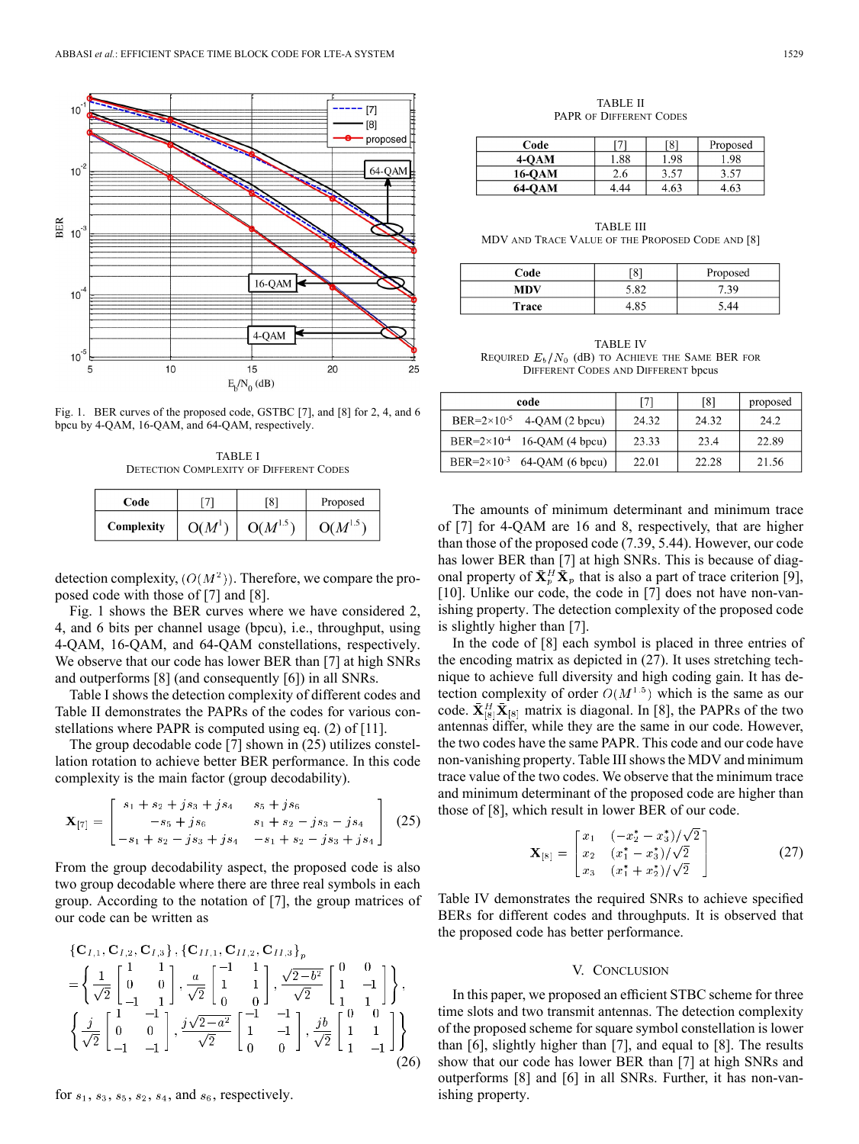

Fig. 1. BER curves of the proposed code, GSTBC [7], and [8] for 2, 4, and 6 bpcu by 4-QAM, 16-QAM, and 64-QAM, respectively.

TABLE I DETECTION COMPLEXITY OF DIFFERENT CODES

| Code       |                    | [8]          | Proposed     |
|------------|--------------------|--------------|--------------|
| Complexity | O(M <sup>1</sup> ) | $O(M^{1.5})$ | $O(M^{1.5})$ |

detection complexity,  $(O(M^2))$ . Therefore, we compare the proposed code with those of [7] and [8].

Fig. 1 shows the BER curves where we have considered 2, 4, and 6 bits per channel usage (bpcu), i.e., throughput, using 4-QAM, 16-QAM, and 64-QAM constellations, respectively. We observe that our code has lower BER than [7] at high SNRs and outperforms [8] (and consequently [6]) in all SNRs.

Table I shows the detection complexity of different codes and Table II demonstrates the PAPRs of the codes for various constellations where PAPR is computed using eq. (2) of [11].

The group decodable code [7] shown in (25) utilizes constellation rotation to achieve better BER performance. In this code complexity is the main factor (group decodability).

$$
\mathbf{X}_{[7]} = \begin{bmatrix} s_1 + s_2 + js_3 + js_4 & s_5 + js_6 \\ -s_5 + js_6 & s_1 + s_2 - js_3 - js_4 \\ -s_1 + s_2 - js_3 + js_4 & -s_1 + s_2 - js_3 + js_4 \end{bmatrix} (25)
$$

From the group decodability aspect, the proposed code is also two group decodable where there are three real symbols in each group. According to the notation of [7], the group matrices of our code can be written as

$$
\begin{aligned}\n\{\mathbf{C}_{I,1}, \mathbf{C}_{I,2}, \mathbf{C}_{I,3}\}, \{\mathbf{C}_{II,1}, \mathbf{C}_{II,2}, \mathbf{C}_{II,3}\}_p \\
&= \left\{ \frac{1}{\sqrt{2}} \begin{bmatrix} 1 & 1 \\ 0 & 0 \\ -1 & 1 \end{bmatrix}, \frac{a}{\sqrt{2}} \begin{bmatrix} -1 & 1 \\ 1 & 1 \\ 0 & 0 \end{bmatrix}, \frac{\sqrt{2-b^2}}{\sqrt{2}} \begin{bmatrix} 0 & 0 \\ 1 & -1 \\ 1 & 1 \end{bmatrix} \right\}, \\
\left\{ \frac{j}{\sqrt{2}} \begin{bmatrix} 1 & -1 \\ 0 & 0 \\ -1 & -1 \end{bmatrix}, \frac{j\sqrt{2-a^2}}{\sqrt{2}} \begin{bmatrix} -1 & -1 \\ 1 & -1 \\ 0 & 0 \end{bmatrix}, \frac{jb}{\sqrt{2}} \begin{bmatrix} 0 & 0 \\ 1 & 1 \\ 1 & -1 \end{bmatrix} \right\}\n\end{aligned}
$$
\n(26)

for  $s_1$ ,  $s_3$ ,  $s_5$ ,  $s_2$ ,  $s_4$ , and  $s_6$ , respectively.

TABLE II PAPR OF DIFFERENT CODES

| Code   |      | [8]  | Proposed |
|--------|------|------|----------|
| $4-OM$ | 1.88 | 1.98 | . 98     |
| 16-OAM | 2.6  | 3.57 | 3.57     |
| 64-OAM | 4.44 | 4.63 | 4.63     |

TABLE III MDV AND TRACE VALUE OF THE PROPOSED CODE AND [8]

| Code  | [8]          | Proposed   |  |
|-------|--------------|------------|--|
| MDV   | 5.82         | $.3^\circ$ |  |
| Trace | $.8^{\circ}$ |            |  |

TABLE IV REQUIRED  $E_b/N_0$  (dB) to ACHIEVE THE SAME BER FOR DIFFERENT CODES AND DIFFERENT bpcus

| code                                    | [7]   | [8]   | proposed |
|-----------------------------------------|-------|-------|----------|
| BER= $2 \times 10^{-5}$ 4-QAM (2 bpcu)  | 24.32 | 24.32 | 24.2     |
| BER= $2 \times 10^{-4}$ 16-QAM (4 bpcu) | 23.33 | 23.4  | 22.89    |
| BER= $2 \times 10^{-3}$ 64-QAM (6 bpcu) | 22.01 | 22.28 | 21.56    |

The amounts of minimum determinant and minimum trace of [7] for 4-QAM are 16 and 8, respectively, that are higher than those of the proposed code (7.39, 5.44). However, our code has lower BER than [7] at high SNRs. This is because of diagonal property of  $\bar{\mathbf{X}}_p^H \bar{\mathbf{X}}_p$  that is also a part of trace criterion [9], [10]. Unlike our code, the code in [7] does not have non-vanishing property. The detection complexity of the proposed code is slightly higher than [7].

In the code of [8] each symbol is placed in three entries of the encoding matrix as depicted in (27). It uses stretching technique to achieve full diversity and high coding gain. It has detection complexity of order  $O(M^{1.5})$  which is the same as our code.  $\bar{\mathbf{X}}_{[8]}^H \bar{\mathbf{X}}_{[8]}$  matrix is diagonal. In [8], the PAPRs of the two antennas differ, while they are the same in our code. However, the two codes have the same PAPR. This code and our code have non-vanishing property. Table III shows the MDV and minimum trace value of the two codes. We observe that the minimum trace and minimum determinant of the proposed code are higher than those of [8], which result in lower BER of our code.

$$
\mathbf{X}_{[8]} = \begin{bmatrix} x_1 & (-x_2^* - x_3^*)/\sqrt{2} \\ x_2 & (x_1^* - x_3^*)/\sqrt{2} \\ x_3 & (x_1^* + x_2^*)/\sqrt{2} \end{bmatrix} \tag{27}
$$

Table IV demonstrates the required SNRs to achieve specified BERs for different codes and throughputs. It is observed that the proposed code has better performance.

#### V. CONCLUSION

In this paper, we proposed an efficient STBC scheme for three time slots and two transmit antennas. The detection complexity of the proposed scheme for square symbol constellation is lower than [6], slightly higher than [7], and equal to [8]. The results show that our code has lower BER than [7] at high SNRs and outperforms [8] and [6] in all SNRs. Further, it has non-vanishing property.